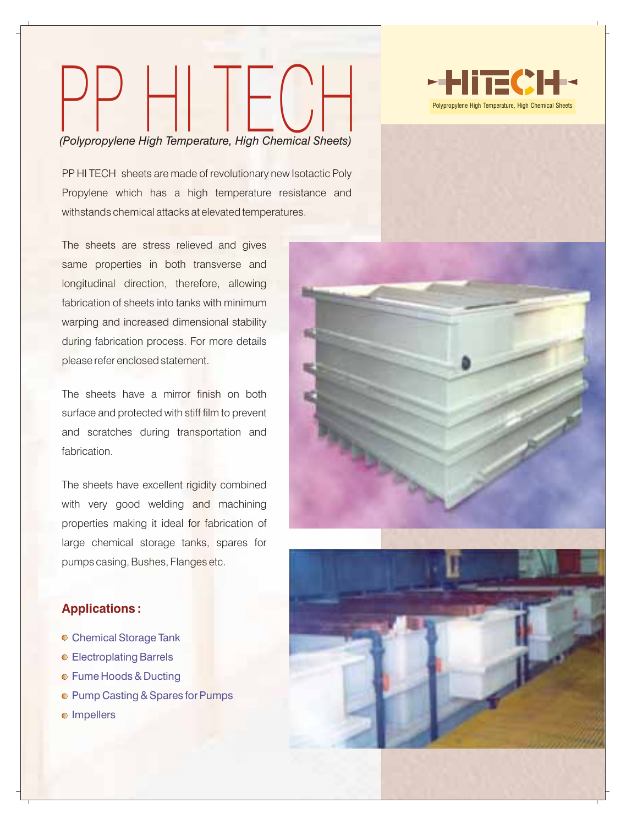# Polypropylene High Temperature, High Chemical Sheets)<br>*(Polypropylene High Temperature, High Chemical Sheets)*

PP HI TECH sheets are made of revolutionary new Isotactic Poly Propylene which has a high temperature resistance and withstands chemical attacks at elevated temperatures.

The sheets are stress relieved and gives same properties in both transverse and longitudinal direction, therefore, allowing fabrication of sheets into tanks with minimum warping and increased dimensional stability during fabrication process. For more details please refer enclosed statement.

The sheets have a mirror finish on both surface and protected with stiff film to prevent and scratches during transportation and fabrication.

The sheets have excellent rigidity combined with very good welding and machining properties making it ideal for fabrication of large chemical storage tanks, spares for pumps casing, Bushes, Flanges etc.

# **Applications :**

- Chemical Storage Tank
- Electroplating Barrels
- **Fume Hoods & Ducting**
- **Pump Casting & Spares for Pumps**
- o Impellers